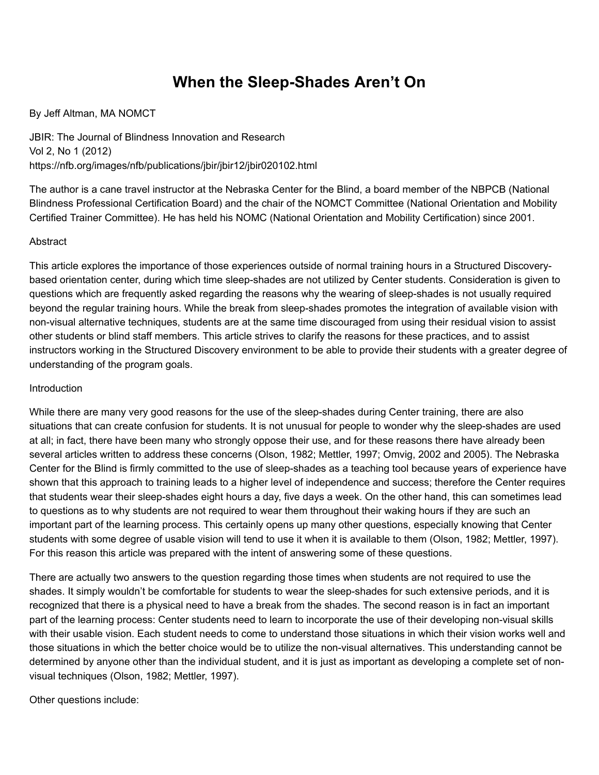# **When the Sleep-Shades Aren't On**

## By Jeff Altman, MA NOMCT

JBIR: The Journal of Blindness Innovation and Research Vol 2, No 1 (2012) https://nfb.org/images/nfb/publications/jbir/jbir12/jbir020102.html

The author is a cane travel instructor at the Nebraska Center for the Blind, a board member of the NBPCB (National Blindness Professional Certification Board) and the chair of the NOMCT Committee (National Orientation and Mobility Certified Trainer Committee). He has held his NOMC (National Orientation and Mobility Certification) since 2001.

#### Abstract

This article explores the importance of those experiences outside of normal training hours in a Structured Discoverybased orientation center, during which time sleep-shades are not utilized by Center students. Consideration is given to questions which are frequently asked regarding the reasons why the wearing of sleep-shades is not usually required beyond the regular training hours. While the break from sleep-shades promotes the integration of available vision with non-visual alternative techniques, students are at the same time discouraged from using their residual vision to assist other students or blind staff members. This article strives to clarify the reasons for these practices, and to assist instructors working in the Structured Discovery environment to be able to provide their students with a greater degree of understanding of the program goals.

#### Introduction

While there are many very good reasons for the use of the sleep-shades during Center training, there are also situations that can create confusion for students. It is not unusual for people to wonder why the sleep-shades are used at all; in fact, there have been many who strongly oppose their use, and for these reasons there have already been several articles written to address these concerns (Olson, 1982; Mettler, 1997; Omvig, 2002 and 2005). The Nebraska Center for the Blind is firmly committed to the use of sleep-shades as a teaching tool because years of experience have shown that this approach to training leads to a higher level of independence and success; therefore the Center requires that students wear their sleep-shades eight hours a day, five days a week. On the other hand, this can sometimes lead to questions as to why students are not required to wear them throughout their waking hours if they are such an important part of the learning process. This certainly opens up many other questions, especially knowing that Center students with some degree of usable vision will tend to use it when it is available to them (Olson, 1982; Mettler, 1997). For this reason this article was prepared with the intent of answering some of these questions.

There are actually two answers to the question regarding those times when students are not required to use the shades. It simply wouldn't be comfortable for students to wear the sleep-shades for such extensive periods, and it is recognized that there is a physical need to have a break from the shades. The second reason is in fact an important part of the learning process: Center students need to learn to incorporate the use of their developing non-visual skills with their usable vision. Each student needs to come to understand those situations in which their vision works well and those situations in which the better choice would be to utilize the non-visual alternatives. This understanding cannot be determined by anyone other than the individual student, and it is just as important as developing a complete set of nonvisual techniques (Olson, 1982; Mettler, 1997).

Other questions include: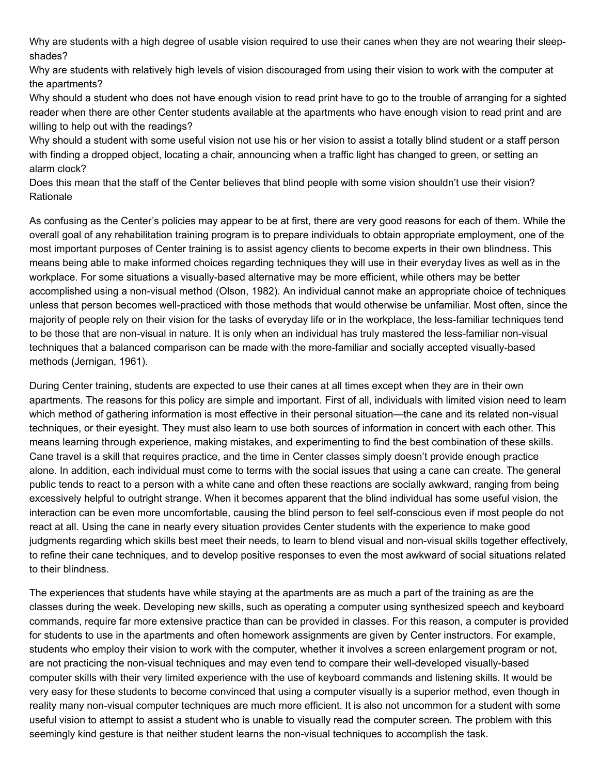Why are students with a high degree of usable vision required to use their canes when they are not wearing their sleepshades?

Why are students with relatively high levels of vision discouraged from using their vision to work with the computer at the apartments?

Why should a student who does not have enough vision to read print have to go to the trouble of arranging for a sighted reader when there are other Center students available at the apartments who have enough vision to read print and are willing to help out with the readings?

Why should a student with some useful vision not use his or her vision to assist a totally blind student or a staff person with finding a dropped object, locating a chair, announcing when a traffic light has changed to green, or setting an alarm clock?

Does this mean that the staff of the Center believes that blind people with some vision shouldn't use their vision? Rationale

As confusing as the Center's policies may appear to be at first, there are very good reasons for each of them. While the overall goal of any rehabilitation training program is to prepare individuals to obtain appropriate employment, one of the most important purposes of Center training is to assist agency clients to become experts in their own blindness. This means being able to make informed choices regarding techniques they will use in their everyday lives as well as in the workplace. For some situations a visually-based alternative may be more efficient, while others may be better accomplished using a non-visual method (Olson, 1982). An individual cannot make an appropriate choice of techniques unless that person becomes well-practiced with those methods that would otherwise be unfamiliar. Most often, since the majority of people rely on their vision for the tasks of everyday life or in the workplace, the less-familiar techniques tend to be those that are non-visual in nature. It is only when an individual has truly mastered the less-familiar non-visual techniques that a balanced comparison can be made with the more-familiar and socially accepted visually-based methods (Jernigan, 1961).

During Center training, students are expected to use their canes at all times except when they are in their own apartments. The reasons for this policy are simple and important. First of all, individuals with limited vision need to learn which method of gathering information is most effective in their personal situation—the cane and its related non-visual techniques, or their eyesight. They must also learn to use both sources of information in concert with each other. This means learning through experience, making mistakes, and experimenting to find the best combination of these skills. Cane travel is a skill that requires practice, and the time in Center classes simply doesn't provide enough practice alone. In addition, each individual must come to terms with the social issues that using a cane can create. The general public tends to react to a person with a white cane and often these reactions are socially awkward, ranging from being excessively helpful to outright strange. When it becomes apparent that the blind individual has some useful vision, the interaction can be even more uncomfortable, causing the blind person to feel self-conscious even if most people do not react at all. Using the cane in nearly every situation provides Center students with the experience to make good judgments regarding which skills best meet their needs, to learn to blend visual and non-visual skills together effectively, to refine their cane techniques, and to develop positive responses to even the most awkward of social situations related to their blindness.

The experiences that students have while staying at the apartments are as much a part of the training as are the classes during the week. Developing new skills, such as operating a computer using synthesized speech and keyboard commands, require far more extensive practice than can be provided in classes. For this reason, a computer is provided for students to use in the apartments and often homework assignments are given by Center instructors. For example, students who employ their vision to work with the computer, whether it involves a screen enlargement program or not, are not practicing the non-visual techniques and may even tend to compare their well-developed visually-based computer skills with their very limited experience with the use of keyboard commands and listening skills. It would be very easy for these students to become convinced that using a computer visually is a superior method, even though in reality many non-visual computer techniques are much more efficient. It is also not uncommon for a student with some useful vision to attempt to assist a student who is unable to visually read the computer screen. The problem with this seemingly kind gesture is that neither student learns the non-visual techniques to accomplish the task.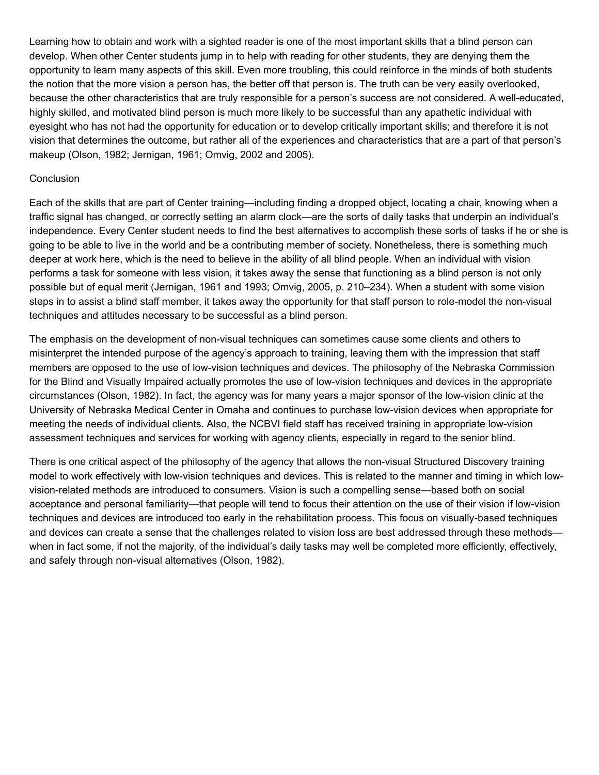Learning how to obtain and work with a sighted reader is one of the most important skills that a blind person can develop. When other Center students jump in to help with reading for other students, they are denying them the opportunity to learn many aspects of this skill. Even more troubling, this could reinforce in the minds of both students the notion that the more vision a person has, the better off that person is. The truth can be very easily overlooked, because the other characteristics that are truly responsible for a person's success are not considered. A well-educated, highly skilled, and motivated blind person is much more likely to be successful than any apathetic individual with eyesight who has not had the opportunity for education or to develop critically important skills; and therefore it is not vision that determines the outcome, but rather all of the experiences and characteristics that are a part of that person's makeup (Olson, 1982; Jernigan, 1961; Omvig, 2002 and 2005).

# **Conclusion**

Each of the skills that are part of Center training—including finding a dropped object, locating a chair, knowing when a traffic signal has changed, or correctly setting an alarm clock—are the sorts of daily tasks that underpin an individual's independence. Every Center student needs to find the best alternatives to accomplish these sorts of tasks if he or she is going to be able to live in the world and be a contributing member of society. Nonetheless, there is something much deeper at work here, which is the need to believe in the ability of all blind people. When an individual with vision performs a task for someone with less vision, it takes away the sense that functioning as a blind person is not only possible but of equal merit (Jernigan, 1961 and 1993; Omvig, 2005, p. 210–234). When a student with some vision steps in to assist a blind staff member, it takes away the opportunity for that staff person to role-model the non-visual techniques and attitudes necessary to be successful as a blind person.

The emphasis on the development of non-visual techniques can sometimes cause some clients and others to misinterpret the intended purpose of the agency's approach to training, leaving them with the impression that staff members are opposed to the use of low-vision techniques and devices. The philosophy of the Nebraska Commission for the Blind and Visually Impaired actually promotes the use of low-vision techniques and devices in the appropriate circumstances (Olson, 1982). In fact, the agency was for many years a major sponsor of the low-vision clinic at the University of Nebraska Medical Center in Omaha and continues to purchase low-vision devices when appropriate for meeting the needs of individual clients. Also, the NCBVI field staff has received training in appropriate low-vision assessment techniques and services for working with agency clients, especially in regard to the senior blind.

There is one critical aspect of the philosophy of the agency that allows the non-visual Structured Discovery training model to work effectively with low-vision techniques and devices. This is related to the manner and timing in which lowvision-related methods are introduced to consumers. Vision is such a compelling sense—based both on social acceptance and personal familiarity—that people will tend to focus their attention on the use of their vision if low-vision techniques and devices are introduced too early in the rehabilitation process. This focus on visually-based techniques and devices can create a sense that the challenges related to vision loss are best addressed through these methods when in fact some, if not the majority, of the individual's daily tasks may well be completed more efficiently, effectively, and safely through non-visual alternatives (Olson, 1982).